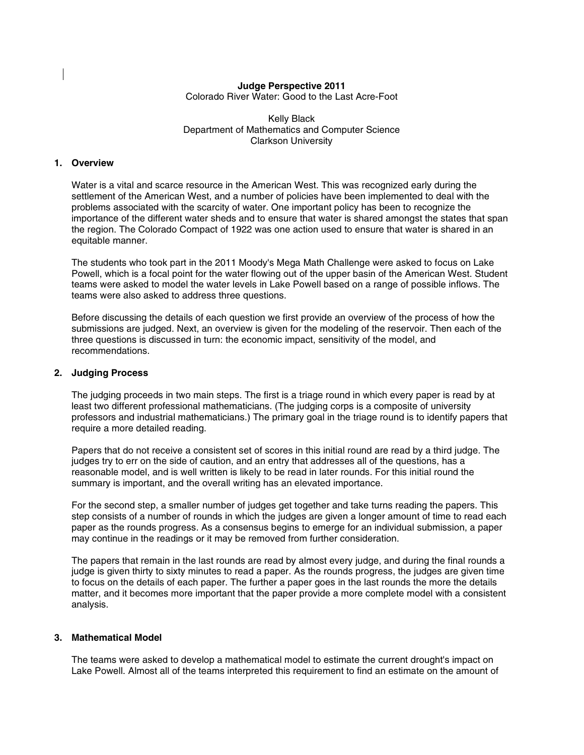# **Judge Perspective 2011**

Colorado River Water: Good to the Last Acre-Foot

Kelly Black Department of Mathematics and Computer Science Clarkson University

## **1. Overview**

Water is a vital and scarce resource in the American West. This was recognized early during the settlement of the American West, and a number of policies have been implemented to deal with the problems associated with the scarcity of water. One important policy has been to recognize the importance of the different water sheds and to ensure that water is shared amongst the states that span the region. The Colorado Compact of 1922 was one action used to ensure that water is shared in an equitable manner.

The students who took part in the 2011 Moody's Mega Math Challenge were asked to focus on Lake Powell, which is a focal point for the water flowing out of the upper basin of the American West. Student teams were asked to model the water levels in Lake Powell based on a range of possible inflows. The teams were also asked to address three questions.

Before discussing the details of each question we first provide an overview of the process of how the submissions are judged. Next, an overview is given for the modeling of the reservoir. Then each of the three questions is discussed in turn: the economic impact, sensitivity of the model, and recommendations.

#### **2. Judging Process**

The judging proceeds in two main steps. The first is a triage round in which every paper is read by at least two different professional mathematicians. (The judging corps is a composite of university professors and industrial mathematicians.) The primary goal in the triage round is to identify papers that require a more detailed reading.

Papers that do not receive a consistent set of scores in this initial round are read by a third judge. The judges try to err on the side of caution, and an entry that addresses all of the questions, has a reasonable model, and is well written is likely to be read in later rounds. For this initial round the summary is important, and the overall writing has an elevated importance.

For the second step, a smaller number of judges get together and take turns reading the papers. This step consists of a number of rounds in which the judges are given a longer amount of time to read each paper as the rounds progress. As a consensus begins to emerge for an individual submission, a paper may continue in the readings or it may be removed from further consideration.

The papers that remain in the last rounds are read by almost every judge, and during the final rounds a judge is given thirty to sixty minutes to read a paper. As the rounds progress, the judges are given time to focus on the details of each paper. The further a paper goes in the last rounds the more the details matter, and it becomes more important that the paper provide a more complete model with a consistent analysis.

## **3. Mathematical Model**

The teams were asked to develop a mathematical model to estimate the current drought's impact on Lake Powell. Almost all of the teams interpreted this requirement to find an estimate on the amount of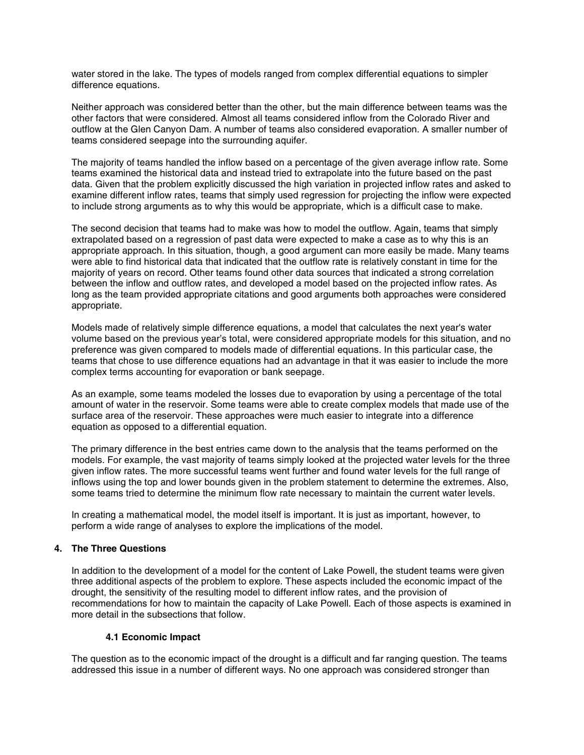water stored in the lake. The types of models ranged from complex differential equations to simpler difference equations.

Neither approach was considered better than the other, but the main difference between teams was the other factors that were considered. Almost all teams considered inflow from the Colorado River and outflow at the Glen Canyon Dam. A number of teams also considered evaporation. A smaller number of teams considered seepage into the surrounding aquifer.

The majority of teams handled the inflow based on a percentage of the given average inflow rate. Some teams examined the historical data and instead tried to extrapolate into the future based on the past data. Given that the problem explicitly discussed the high variation in projected inflow rates and asked to examine different inflow rates, teams that simply used regression for projecting the inflow were expected to include strong arguments as to why this would be appropriate, which is a difficult case to make.

The second decision that teams had to make was how to model the outflow. Again, teams that simply extrapolated based on a regression of past data were expected to make a case as to why this is an appropriate approach. In this situation, though, a good argument can more easily be made. Many teams were able to find historical data that indicated that the outflow rate is relatively constant in time for the majority of years on record. Other teams found other data sources that indicated a strong correlation between the inflow and outflow rates, and developed a model based on the projected inflow rates. As long as the team provided appropriate citations and good arguments both approaches were considered appropriate.

Models made of relatively simple difference equations, a model that calculates the next year's water volume based on the previous year's total, were considered appropriate models for this situation, and no preference was given compared to models made of differential equations. In this particular case, the teams that chose to use difference equations had an advantage in that it was easier to include the more complex terms accounting for evaporation or bank seepage.

As an example, some teams modeled the losses due to evaporation by using a percentage of the total amount of water in the reservoir. Some teams were able to create complex models that made use of the surface area of the reservoir. These approaches were much easier to integrate into a difference equation as opposed to a differential equation.

The primary difference in the best entries came down to the analysis that the teams performed on the models. For example, the vast majority of teams simply looked at the projected water levels for the three given inflow rates. The more successful teams went further and found water levels for the full range of inflows using the top and lower bounds given in the problem statement to determine the extremes. Also, some teams tried to determine the minimum flow rate necessary to maintain the current water levels.

In creating a mathematical model, the model itself is important. It is just as important, however, to perform a wide range of analyses to explore the implications of the model.

## **4. The Three Questions**

In addition to the development of a model for the content of Lake Powell, the student teams were given three additional aspects of the problem to explore. These aspects included the economic impact of the drought, the sensitivity of the resulting model to different inflow rates, and the provision of recommendations for how to maintain the capacity of Lake Powell. Each of those aspects is examined in more detail in the subsections that follow.

## **4.1 Economic Impact**

The question as to the economic impact of the drought is a difficult and far ranging question. The teams addressed this issue in a number of different ways. No one approach was considered stronger than